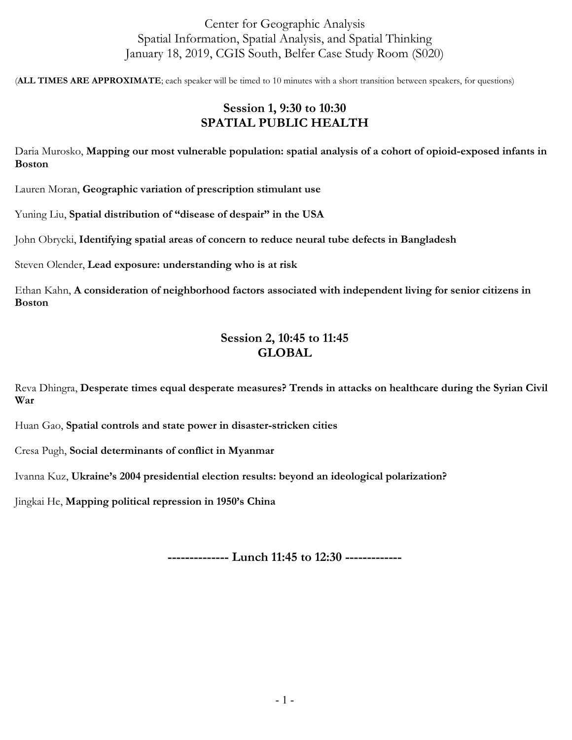# Center for Geographic Analysis Spatial Information, Spatial Analysis, and Spatial Thinking January 18, 2019, CGIS South, Belfer Case Study Room (S020)

(**ALL TIMES ARE APPROXIMATE**; each speaker will be timed to 10 minutes with a short transition between speakers, for questions)

## **Session 1, 9:30 to 10:30 SPATIAL PUBLIC HEALTH**

Daria Murosko, **Mapping our most vulnerable population: spatial analysis of a cohort of opioid-exposed infants in Boston**

Lauren Moran, **Geographic variation of prescription stimulant use**

Yuning Liu, **Spatial distribution of "disease of despair" in the USA**

John Obrycki, **Identifying spatial areas of concern to reduce neural tube defects in Bangladesh**

Steven Olender, **Lead exposure: understanding who is at risk**

Ethan Kahn, **A consideration of neighborhood factors associated with independent living for senior citizens in Boston**

## **Session 2, 10:45 to 11:45 GLOBAL**

Reva Dhingra, **Desperate times equal desperate measures? Trends in attacks on healthcare during the Syrian Civil War**

Huan Gao, **Spatial controls and state power in disaster-stricken cities**

Cresa Pugh, **Social determinants of conflict in Myanmar**

Ivanna Kuz, **Ukraine's 2004 presidential election results: beyond an ideological polarization?**

Jingkai He, **Mapping political repression in 1950's China**

**-------------- Lunch 11:45 to 12:30 -------------**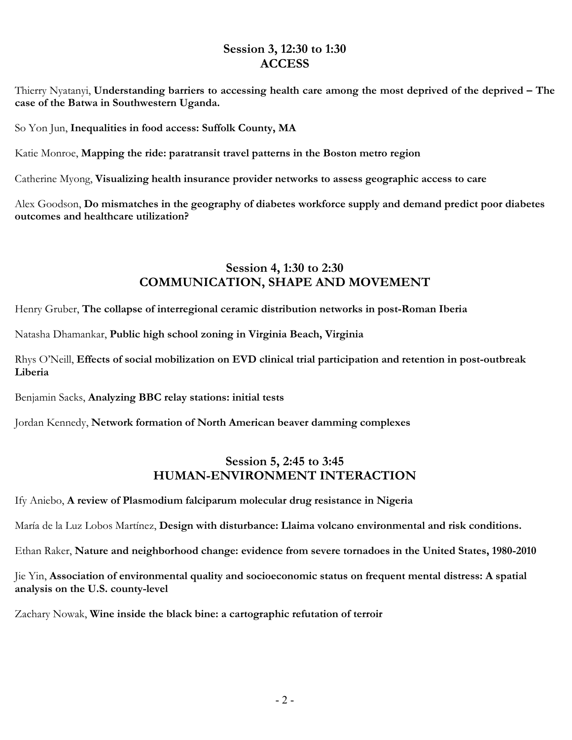## **Session 3, 12:30 to 1:30 ACCESS**

Thierry Nyatanyi, **Understanding barriers to accessing health care among the most deprived of the deprived – The case of the Batwa in Southwestern Uganda.**

So Yon Jun, **Inequalities in food access: Suffolk County, MA**

Katie Monroe, **Mapping the ride: paratransit travel patterns in the Boston metro region**

Catherine Myong, **Visualizing health insurance provider networks to assess geographic access to care**

Alex Goodson, **Do mismatches in the geography of diabetes workforce supply and demand predict poor diabetes outcomes and healthcare utilization?** 

## **Session 4, 1:30 to 2:30 COMMUNICATION, SHAPE AND MOVEMENT**

Henry Gruber, **The collapse of interregional ceramic distribution networks in post-Roman Iberia**

Natasha Dhamankar, **Public high school zoning in Virginia Beach, Virginia**

Rhys O'Neill, **Effects of social mobilization on EVD clinical trial participation and retention in post-outbreak Liberia**

Benjamin Sacks, **Analyzing BBC relay stations: initial tests**

Jordan Kennedy, **Network formation of North American beaver damming complexes**

## **Session 5, 2:45 to 3:45 HUMAN-ENVIRONMENT INTERACTION**

Ify Aniebo, **A review of Plasmodium falciparum molecular drug resistance in Nigeria**

María de la Luz Lobos Martínez, **Design with disturbance: Llaima volcano environmental and risk conditions.**

Ethan Raker, **Nature and neighborhood change: evidence from severe tornadoes in the United States, 1980-2010**

Jie Yin, **Association of environmental quality and socioeconomic status on frequent mental distress: A spatial analysis on the U.S. county-level**

Zachary Nowak, **Wine inside the black bine: a cartographic refutation of terroir**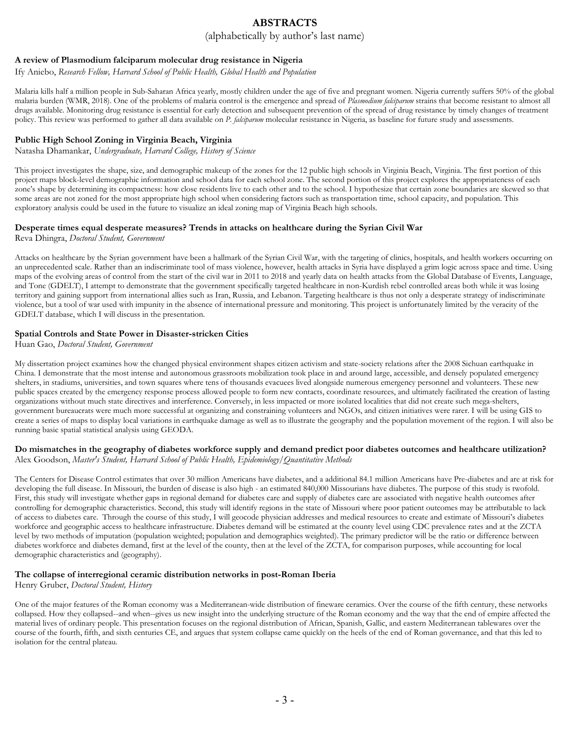# **ABSTRACTS**

(alphabetically by author's last name)

## **A review of Plasmodium falciparum molecular drug resistance in Nigeria**

Ify Aniebo, *Research Fellow, Harvard School of Public Health, Global Health and Population*

Malaria kills half a million people in Sub-Saharan Africa yearly, mostly children under the age of five and pregnant women. Nigeria currently suffers 50% of the global malaria burden (WMR, 2018). One of the problems of malaria control is the emergence and spread of *Plasmodium falciparum* strains that become resistant to almost all drugs available. Monitoring drug resistance is essential for early detection and subsequent prevention of the spread of drug resistance by timely changes of treatment policy. This review was performed to gather all data available on *P. falciparum* molecular resistance in Nigeria, as baseline for future study and assessments.

## **Public High School Zoning in Virginia Beach, Virginia**

Natasha Dhamankar, *Undergraduate, Harvard College, History of Science*

This project investigates the shape, size, and demographic makeup of the zones for the 12 public high schools in Virginia Beach, Virginia. The first portion of this project maps block-level demographic information and school data for each school zone. The second portion of this project explores the appropriateness of each zone's shape by determining its compactness: how close residents live to each other and to the school. I hypothesize that certain zone boundaries are skewed so that some areas are not zoned for the most appropriate high school when considering factors such as transportation time, school capacity, and population. This exploratory analysis could be used in the future to visualize an ideal zoning map of Virginia Beach high schools.

## **Desperate times equal desperate measures? Trends in attacks on healthcare during the Syrian Civil War**

Reva Dhingra, *Doctoral Student, Government*

Attacks on healthcare by the Syrian government have been a hallmark of the Syrian Civil War, with the targeting of clinics, hospitals, and health workers occurring on an unprecedented scale. Rather than an indiscriminate tool of mass violence, however, health attacks in Syria have displayed a grim logic across space and time. Using maps of the evolving areas of control from the start of the civil war in 2011 to 2018 and yearly data on health attacks from the Global Database of Events, Language, and Tone (GDELT), I attempt to demonstrate that the government specifically targeted healthcare in non-Kurdish rebel controlled areas both while it was losing territory and gaining support from international allies such as Iran, Russia, and Lebanon. Targeting healthcare is thus not only a desperate strategy of indiscriminate violence, but a tool of war used with impunity in the absence of international pressure and monitoring. This project is unfortunately limited by the veracity of the GDELT database, which I will discuss in the presentation.

### **Spatial Controls and State Power in Disaster-stricken Cities**

Huan Gao, *Doctoral Student, Government*

My dissertation project examines how the changed physical environment shapes citizen activism and state-society relations after the 2008 Sichuan earthquake in China. I demonstrate that the most intense and autonomous grassroots mobilization took place in and around large, accessible, and densely populated emergency shelters, in stadiums, universities, and town squares where tens of thousands evacuees lived alongside numerous emergency personnel and volunteers. These new public spaces created by the emergency response process allowed people to form new contacts, coordinate resources, and ultimately facilitated the creation of lasting organizations without much state directives and interference. Conversely, in less impacted or more isolated localities that did not create such mega-shelters, government bureaucrats were much more successful at organizing and constraining volunteers and NGOs, and citizen initiatives were rarer. I will be using GIS to create a series of maps to display local variations in earthquake damage as well as to illustrate the geography and the population movement of the region. I will also be running basic spatial statistical analysis using GEODA.

#### **Do mismatches in the geography of diabetes workforce supply and demand predict poor diabetes outcomes and healthcare utilization?**  Alex Goodson, *Master's Student, Harvard School of Public Health, Epidemiology/Quantitative Methods*

The Centers for Disease Control estimates that over 30 million Americans have diabetes, and a additional 84.1 million Americans have Pre-diabetes and are at risk for developing the full disease. In Missouri, the burden of disease is also high - an estimated 840,000 Missourians have diabetes. The purpose of this study is twofold. First, this study will investigate whether gaps in regional demand for diabetes care and supply of diabetes care are associated with negative health outcomes after controlling for demographic characteristics. Second, this study will identify regions in the state of Missouri where poor patient outcomes may be attributable to lack of access to diabetes care. Through the course of this study, I will geocode physician addresses and medical resources to create and estimate of Missouri's diabetes workforce and geographic access to healthcare infrastructure. Diabetes demand will be estimated at the county level using CDC prevalence rates and at the ZCTA level by two methods of imputation (population weighted; population and demographics weighted). The primary predictor will be the ratio or difference between diabetes workforce and diabetes demand, first at the level of the county, then at the level of the ZCTA, for comparison purposes, while accounting for local demographic characteristics and (geography).

#### **The collapse of interregional ceramic distribution networks in post-Roman Iberia**

Henry Gruber, *Doctoral Student, History*

One of the major features of the Roman economy was a Mediterranean-wide distribution of fineware ceramics. Over the course of the fifth century, these networks collapsed. How they collapsed--and when--gives us new insight into the underlying structure of the Roman economy and the way that the end of empire affected the material lives of ordinary people. This presentation focuses on the regional distribution of African, Spanish, Gallic, and eastern Mediterranean tablewares over the course of the fourth, fifth, and sixth centuries CE, and argues that system collapse came quickly on the heels of the end of Roman governance, and that this led to isolation for the central plateau.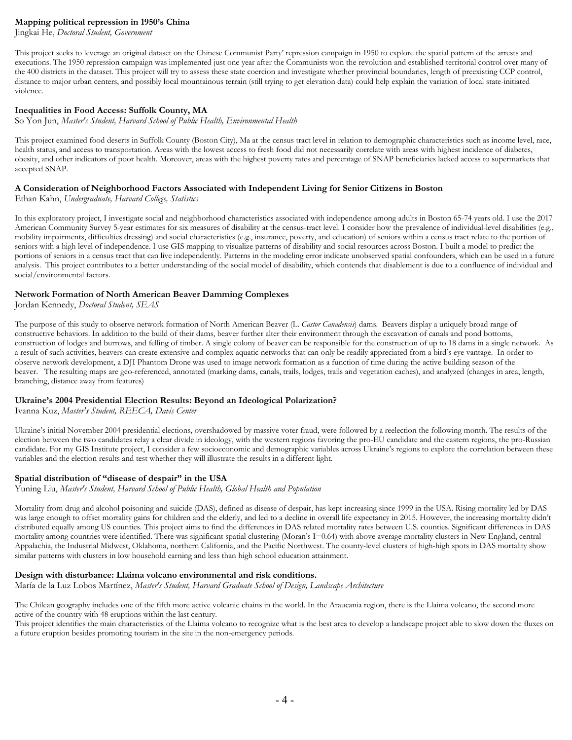### **Mapping political repression in 1950's China**

Jingkai He, *Doctoral Student, Government*

This project seeks to leverage an original dataset on the Chinese Communist Party' repression campaign in 1950 to explore the spatial pattern of the arrests and executions. The 1950 repression campaign was implemented just one year after the Communists won the revolution and established territorial control over many of the 400 districts in the dataset. This project will try to assess these state coercion and investigate whether provincial boundaries, length of preexisting CCP control, distance to major urban centers, and possibly local mountainous terrain (still trying to get elevation data) could help explain the variation of local state-initiated violence.

#### **Inequalities in Food Access: Suffolk County, MA**

So Yon Jun, *Master's Student, Harvard School of Public Health, Environmental Health*

This project examined food deserts in Suffolk County (Boston City), Ma at the census tract level in relation to demographic characteristics such as income level, race, health status, and access to transportation. Areas with the lowest access to fresh food did not necessarily correlate with areas with highest incidence of diabetes, obesity, and other indicators of poor health. Moreover, areas with the highest poverty rates and percentage of SNAP beneficiaries lacked access to supermarkets that accepted SNAP.

#### **A Consideration of Neighborhood Factors Associated with Independent Living for Senior Citizens in Boston**

Ethan Kahn, *Undergraduate, Harvard College, Statistics*

In this exploratory project, I investigate social and neighborhood characteristics associated with independence among adults in Boston 65-74 years old. I use the 2017 American Community Survey 5-year estimates for six measures of disability at the census-tract level. I consider how the prevalence of individual-level disabilities (e.g., mobility impairments, difficulties dressing) and social characteristics (e.g., insurance, poverty, and education) of seniors within a census tract relate to the portion of seniors with a high level of independence. I use GIS mapping to visualize patterns of disability and social resources across Boston. I built a model to predict the portions of seniors in a census tract that can live independently. Patterns in the modeling error indicate unobserved spatial confounders, which can be used in a future analysis. This project contributes to a better understanding of the social model of disability, which contends that disablement is due to a confluence of individual and social/environmental factors.

### **Network Formation of North American Beaver Damming Complexes**

Jordan Kennedy, *Doctoral Student, SEAS*

The purpose of this study to observe network formation of North American Beaver (L. *Castor Canadensis*) dams. Beavers display a uniquely broad range of constructive behaviors. In addition to the build of their dams, beaver further alter their environment through the excavation of canals and pond bottoms, construction of lodges and burrows, and felling of timber. A single colony of beaver can be responsible for the construction of up to 18 dams in a single network. As a result of such activities, beavers can create extensive and complex aquatic networks that can only be readily appreciated from a bird's eye vantage. In order to observe network development, a DJI Phantom Drone was used to image network formation as a function of time during the active building season of the beaver. The resulting maps are geo-referenced, annotated (marking dams, canals, trails, lodges, trails and vegetation caches), and analyzed (changes in area, length, branching, distance away from features)

#### **Ukraine's 2004 Presidential Election Results: Beyond an Ideological Polarization?**

Ivanna Kuz, *Master's Student, REECA, Davis Center*

Ukraine's initial November 2004 presidential elections, overshadowed by massive voter fraud, were followed by a reelection the following month. The results of the election between the two candidates relay a clear divide in ideology, with the western regions favoring the pro-EU candidate and the eastern regions, the pro-Russian candidate. For my GIS Institute project, I consider a few socioeconomic and demographic variables across Ukraine's regions to explore the correlation between these variables and the election results and test whether they will illustrate the results in a different light.

#### **Spatial distribution of "disease of despair" in the USA**

Yuning Liu, *Master's Student, Harvard School of Public Health, Global Health and Population*

Mortality from drug and alcohol poisoning and suicide (DAS), defined as disease of despair, has kept increasing since 1999 in the USA. Rising mortality led by DAS was large enough to offset mortality gains for children and the elderly, and led to a decline in overall life expectancy in 2015. However, the increasing mortality didn't distributed equally among US counties. This project aims to find the differences in DAS related mortality rates between U.S. counties. Significant differences in DAS mortality among countries were identified. There was significant spatial clustering (Moran's I=0.64) with above average mortality clusters in New England, central Appalachia, the Industrial Midwest, Oklahoma, northern California, and the Pacific Northwest. The county-level clusters of high-high spots in DAS mortality show similar patterns with clusters in low household earning and less than high school education attainment.

#### **Design with disturbance: Llaima volcano environmental and risk conditions.**

María de la Luz Lobos Martínez, *Master's Student, Harvard Graduate School of Design, Landscape Architecture*

The Chilean geography includes one of the fifth more active volcanic chains in the world. In the Araucania region, there is the Llaima volcano, the second more active of the country with 48 eruptions within the last century.

This project identifies the main characteristics of the Llaima volcano to recognize what is the best area to develop a landscape project able to slow down the fluxes on a future eruption besides promoting tourism in the site in the non-emergency periods.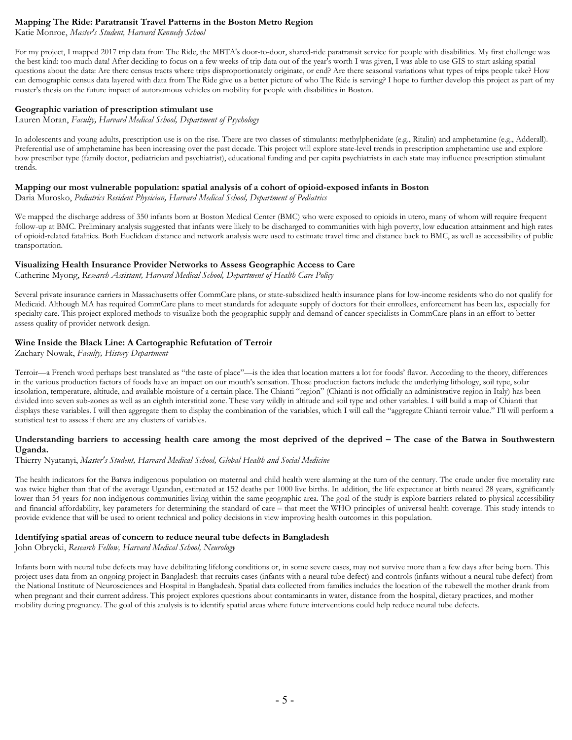### **Mapping The Ride: Paratransit Travel Patterns in the Boston Metro Region**

Katie Monroe, *Master's Student, Harvard Kennedy School*

For my project, I mapped 2017 trip data from The Ride, the MBTA's door-to-door, shared-ride paratransit service for people with disabilities. My first challenge was the best kind: too much data! After deciding to focus on a few weeks of trip data out of the year's worth I was given, I was able to use GIS to start asking spatial questions about the data: Are there census tracts where trips disproportionately originate, or end? Are there seasonal variations what types of trips people take? How can demographic census data layered with data from The Ride give us a better picture of who The Ride is serving? I hope to further develop this project as part of my master's thesis on the future impact of autonomous vehicles on mobility for people with disabilities in Boston.

#### **Geographic variation of prescription stimulant use**

Lauren Moran, *Faculty, Harvard Medical School, Department of Psychology*

In adolescents and young adults, prescription use is on the rise. There are two classes of stimulants: methylphenidate (e.g., Ritalin) and amphetamine (e.g., Adderall). Preferential use of amphetamine has been increasing over the past decade. This project will explore state-level trends in prescription amphetamine use and explore how prescriber type (family doctor, pediatrician and psychiatrist), educational funding and per capita psychiatrists in each state may influence prescription stimulant trends.

#### **Mapping our most vulnerable population: spatial analysis of a cohort of opioid-exposed infants in Boston**

Daria Murosko, *Pediatrics Resident Physician, Harvard Medical School, Department of Pediatrics*

We mapped the discharge address of 350 infants born at Boston Medical Center (BMC) who were exposed to opioids in utero, many of whom will require frequent follow-up at BMC. Preliminary analysis suggested that infants were likely to be discharged to communities with high poverty, low education attainment and high rates of opioid-related fatalities. Both Euclidean distance and network analysis were used to estimate travel time and distance back to BMC, as well as accessibility of public transportation.

### **Visualizing Health Insurance Provider Networks to Assess Geographic Access to Care**

Catherine Myong, *Research Assistant, Harvard Medical School, Department of Health Care Policy*

Several private insurance carriers in Massachusetts offer CommCare plans, or state-subsidized health insurance plans for low-income residents who do not qualify for Medicaid. Although MA has required CommCare plans to meet standards for adequate supply of doctors for their enrollees, enforcement has been lax, especially for specialty care. This project explored methods to visualize both the geographic supply and demand of cancer specialists in CommCare plans in an effort to better assess quality of provider network design.

## **Wine Inside the Black Line: A Cartographic Refutation of Terroir**

Zachary Nowak, *Faculty, History Department*

Terroir—a French word perhaps best translated as "the taste of place"—is the idea that location matters a lot for foods' flavor. According to the theory, differences in the various production factors of foods have an impact on our mouth's sensation. Those production factors include the underlying lithology, soil type, solar insolation, temperature, altitude, and available moisture of a certain place. The Chianti "region" (Chianti is not officially an administrative region in Italy) has been divided into seven sub-zones as well as an eighth interstitial zone. These vary wildly in altitude and soil type and other variables. I will build a map of Chianti that displays these variables. I will then aggregate them to display the combination of the variables, which I will call the "aggregate Chianti terroir value." I'll will perform a statistical test to assess if there are any clusters of variables.

### **Understanding barriers to accessing health care among the most deprived of the deprived – The case of the Batwa in Southwestern Uganda.**

#### Thierry Nyatanyi, *Master's Student, Harvard Medical School, Global Health and Social Medicine*

The health indicators for the Batwa indigenous population on maternal and child health were alarming at the turn of the century. The crude under five mortality rate was twice higher than that of the average Ugandan, estimated at 152 deaths per 1000 live births. In addition, the life expectance at birth neared 28 years, significantly lower than 54 years for non-indigenous communities living within the same geographic area. The goal of the study is explore barriers related to physical accessibility and financial affordability, key parameters for determining the standard of care – that meet the WHO principles of universal health coverage. This study intends to provide evidence that will be used to orient technical and policy decisions in view improving health outcomes in this population.

#### **Identifying spatial areas of concern to reduce neural tube defects in Bangladesh**

John Obrycki, *Research Fellow, Harvard Medical School, Neurology*

Infants born with neural tube defects may have debilitating lifelong conditions or, in some severe cases, may not survive more than a few days after being born. This project uses data from an ongoing project in Bangladesh that recruits cases (infants with a neural tube defect) and controls (infants without a neural tube defect) from the National Institute of Neurosciences and Hospital in Bangladesh. Spatial data collected from families includes the location of the tubewell the mother drank from when pregnant and their current address. This project explores questions about contaminants in water, distance from the hospital, dietary practices, and mother mobility during pregnancy. The goal of this analysis is to identify spatial areas where future interventions could help reduce neural tube defects.